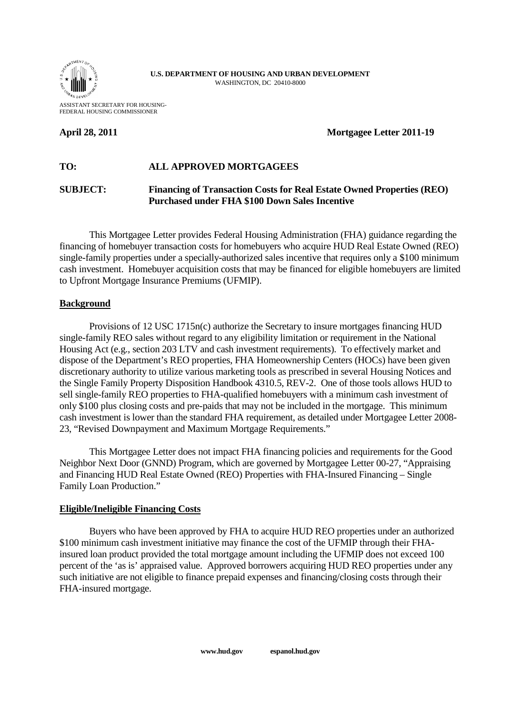

**U.S. DEPARTMENT OF HOUSING AND URBAN DEVELOPMENT** WASHINGTON, DC 20410-8000

ASSISTANT SECRETARY FOR HOUSING-FEDERAL HOUSING COMMISSIONER

## **April 28, 2011** Mortgagee Letter 2011-19

# **TO: ALL APPROVED MORTGAGEES**

## **SUBJECT: Financing of Transaction Costs for Real Estate Owned Properties (REO) Purchased under FHA \$100 Down Sales Incentive**

This Mortgagee Letter provides Federal Housing Administration (FHA) guidance regarding the financing of homebuyer transaction costs for homebuyers who acquire HUD Real Estate Owned (REO) single-family properties under a specially-authorized sales incentive that requires only a \$100 minimum cash investment. Homebuyer acquisition costs that may be financed for eligible homebuyers are limited to Upfront Mortgage Insurance Premiums (UFMIP).

#### **Background**

Provisions of 12 USC 1715n(c) authorize the Secretary to insure mortgages financing HUD single-family REO sales without regard to any eligibility limitation or requirement in the National Housing Act (e.g., section 203 LTV and cash investment requirements). To effectively market and dispose of the Department's REO properties, FHA Homeownership Centers (HOCs) have been given discretionary authority to utilize various marketing tools as prescribed in several Housing Notices and the Single Family Property Disposition Handbook 4310.5, REV-2. One of those tools allows HUD to sell single-family REO properties to FHA-qualified homebuyers with a minimum cash investment of only \$100 plus closing costs and pre-paids that may not be included in the mortgage. This minimum cash investment is lower than the standard FHA requirement, as detailed under Mortgagee Letter 2008- 23, "Revised Downpayment and Maximum Mortgage Requirements."

This Mortgagee Letter does not impact FHA financing policies and requirements for the Good Neighbor Next Door (GNND) Program, which are governed by Mortgagee Letter 00-27, "Appraising and Financing HUD Real Estate Owned (REO) Properties with FHA-Insured Financing – Single Family Loan Production."

#### **Eligible/Ineligible Financing Costs**

Buyers who have been approved by FHA to acquire HUD REO properties under an authorized \$100 minimum cash investment initiative may finance the cost of the UFMIP through their FHAinsured loan product provided the total mortgage amount including the UFMIP does not exceed 100 percent of the 'as is' appraised value. Approved borrowers acquiring HUD REO properties under any such initiative are not eligible to finance prepaid expenses and financing/closing costs through their FHA-insured mortgage.